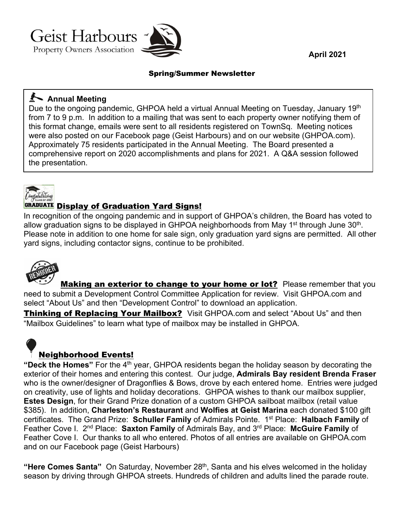Geist Harbours **Property Owners Association** 



**April 2021** 

#### Spring/Summer Newsletter

### **Annual Meeting**

Due to the ongoing pandemic, GHPOA held a virtual Annual Meeting on Tuesday, January 19<sup>th</sup> from 7 to 9 p.m. In addition to a mailing that was sent to each property owner notifying them of this format change, emails were sent to all residents registered on TownSq. Meeting notices were also posted on our Facebook page (Geist Harbours) and on our website (GHPOA.com). Approximately 75 residents participated in the Annual Meeting. The Board presented a comprehensive report on 2020 accomplishments and plans for 2021. A Q&A session followed the presentation.



#### GRADUATE Display of Graduation Yard Signs!

In recognition of the ongoing pandemic and in support of GHPOA's children, the Board has voted to allow graduation signs to be displayed in GHPOA neighborhoods from May 1<sup>st</sup> through June  $30<sup>th</sup>$ . Please note in addition to one home for sale sign, only graduation yard signs are permitted. All other yard signs, including contactor signs, continue to be prohibited.



Making an exterior to change to your home or lot? Please remember that you need to submit a Development Control Committee Application for review. Visit GHPOA.com and select "About Us" and then "Development Control" to download an application.

Thinking of Replacing Your Mailbox? Visit GHPOA.com and select "About Us" and then "Mailbox Guidelines" to learn what type of mailbox may be installed in GHPOA.

## Neighborhood Events!

**"Deck the Homes"** For the 4th year, GHPOA residents began the holiday season by decorating the exterior of their homes and entering this contest. Our judge, **Admirals Bay resident Brenda Fraser** who is the owner/designer of Dragonflies & Bows, drove by each entered home. Entries were judged on creativity, use of lights and holiday decorations. GHPOA wishes to thank our mailbox supplier, **Estes Design**, for their Grand Prize donation of a custom GHPOA sailboat mailbox (retail value \$385). In addition, **Charleston's Restaurant** and **Wolfies at Geist Marina** each donated \$100 gift certificates. The Grand Prize: **Schuller Family** of Admirals Pointe. 1st Place: **Halbach Family** of Feather Cove I. 2nd Place: **Saxton Family** of Admirals Bay, and 3rd Place: **McGuire Family** of Feather Cove I. Our thanks to all who entered. Photos of all entries are available on GHPOA.com and on our Facebook page (Geist Harbours)

**"Here Comes Santa"** On Saturday, November 28<sup>th</sup>, Santa and his elves welcomed in the holiday season by driving through GHPOA streets. Hundreds of children and adults lined the parade route.